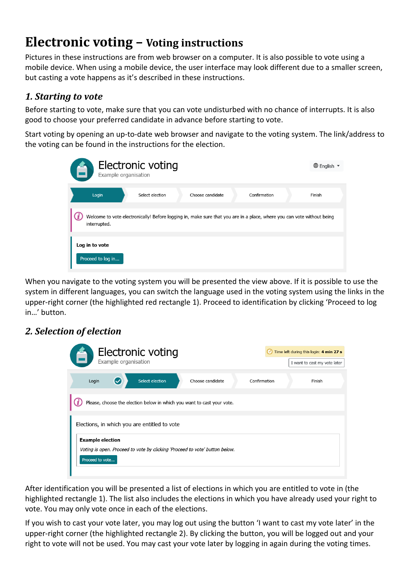# **Electronic voting – Voting instructions**

Pictures in these instructions are from web browser on a computer. It is also possible to vote using a mobile device. When using a mobile device, the user interface may look different due to a smaller screen, but casting a vote happens as it's described in these instructions.

### *1. Starting to vote*

Before starting to vote, make sure that you can vote undisturbed with no chance of interrupts. It is also good to choose your preferred candidate in advance before starting to vote.

Start voting by opening an up-to-date web browser and navigate to the voting system. The link/address to the voting can be found in the instructions for the election.

| Example organisation                | Electronic voting |                  |                                                                                                                        | $\bigoplus$ English $\blacktriangledown$ |
|-------------------------------------|-------------------|------------------|------------------------------------------------------------------------------------------------------------------------|------------------------------------------|
| Login                               | Select election   | Choose candidate | Confirmation                                                                                                           | Finish                                   |
| interrupted.                        |                   |                  | Welcome to vote electronically! Before logging in, make sure that you are in a place, where you can vote without being |                                          |
| Log in to vote<br>Proceed to log in |                   |                  |                                                                                                                        |                                          |

When you navigate to the voting system you will be presented the view above. If it is possible to use the system in different languages, you can switch the language used in the voting system using the links in the upper-right corner (the highlighted red rectangle 1). Proceed to identification by clicking 'Proceed to log in…' button.

#### *2. Selection of election*

| <b>Electronic voting</b><br>Example organisation                                                                          |                                                                        |                  |              | Time left during this login: 4 min 27 s<br>I want to cast my vote later |  |
|---------------------------------------------------------------------------------------------------------------------------|------------------------------------------------------------------------|------------------|--------------|-------------------------------------------------------------------------|--|
| Login                                                                                                                     | Select election                                                        | Choose candidate | Confirmation | Finish                                                                  |  |
|                                                                                                                           | Please, choose the election below in which you want to cast your vote. |                  |              |                                                                         |  |
| Elections, in which you are entitled to vote                                                                              |                                                                        |                  |              |                                                                         |  |
| <b>Example election</b><br>Voting is open. Proceed to vote by clicking 'Proceed to vote' button below.<br>Proceed to vote |                                                                        |                  |              |                                                                         |  |

After identification you will be presented a list of elections in which you are entitled to vote in (the highlighted rectangle 1). The list also includes the elections in which you have already used your right to vote. You may only vote once in each of the elections.

If you wish to cast your vote later, you may log out using the button 'I want to cast my vote later' in the upper-right corner (the highlighted rectangle 2). By clicking the button, you will be logged out and your right to vote will not be used. You may cast your vote later by logging in again during the voting times.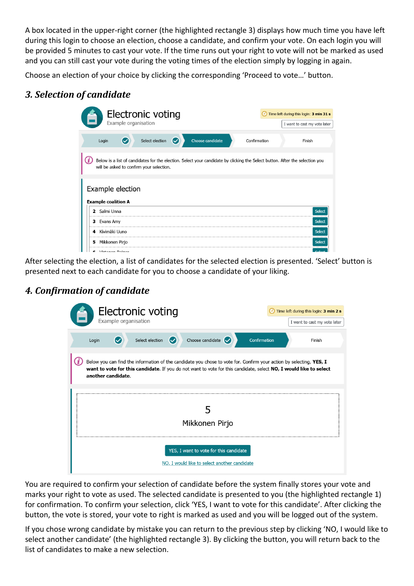A box located in the upper-right corner (the highlighted rectangle 3) displays how much time you have left during this login to choose an election, choose a candidate, and confirm your vote. On each login you will be provided 5 minutes to cast your vote. If the time runs out your right to vote will not be marked as used and you can still cast your vote during the voting times of the election simply by logging in again.

Choose an election of your choice by clicking the corresponding 'Proceed to vote…' button.

## *3. Selection of candidate*

| Electronic voting                                                                                                                                                        | Time left during this login: 3 min 31 s |
|--------------------------------------------------------------------------------------------------------------------------------------------------------------------------|-----------------------------------------|
| Example organisation                                                                                                                                                     | I want to cast my vote later            |
| Select election<br>Choose candidate<br>Confirmation<br>Login<br>$\rm \sim$                                                                                               | Finish                                  |
| Below is a list of candidates for the election. Select your candidate by clicking the Select button. After the selection you<br>will be asked to confirm your selection. |                                         |
| Example election<br><b>Example coalition A</b>                                                                                                                           |                                         |
| Salmi Unna<br>,                                                                                                                                                          | Select                                  |
| Evans Amy<br>з.                                                                                                                                                          | Select                                  |
| Kivimäki Uuno<br>4                                                                                                                                                       | Select                                  |
| Mikkonen Pirjo<br>5                                                                                                                                                      | Select                                  |
| Virtonon Doiner                                                                                                                                                          | Cala                                    |

After selecting the election, a list of candidates for the selected election is presented. 'Select' button is presented next to each candidate for you to choose a candidate of your liking.

#### *4. Confirmation of candidate*

| Electronic voting<br>Example organisation                                                                                                                                                                                                                      | Time left during this login: 3 min 2 s<br>I want to cast my vote later |  |  |  |
|----------------------------------------------------------------------------------------------------------------------------------------------------------------------------------------------------------------------------------------------------------------|------------------------------------------------------------------------|--|--|--|
| Choose candidate $\bigcirc$<br>Select election<br>Login                                                                                                                                                                                                        | Confirmation<br>Finish                                                 |  |  |  |
| Below you can find the information of the candidate you chose to vote for. Confirm your action by selecting, YES, I<br>want to vote for this candidate. If you do not want to vote for this candidate, select NO, I would like to select<br>another candidate. |                                                                        |  |  |  |
| Mikkonen Pirjo                                                                                                                                                                                                                                                 |                                                                        |  |  |  |
| YES, I want to vote for this candidate<br>NO, I would like to select another candidate                                                                                                                                                                         |                                                                        |  |  |  |

You are required to confirm your selection of candidate before the system finally stores your vote and marks your right to vote as used. The selected candidate is presented to you (the highlighted rectangle 1) for confirmation. To confirm your selection, click 'YES, I want to vote for this candidate'. After clicking the button, the vote is stored, your vote to right is marked as used and you will be logged out of the system.

If you chose wrong candidate by mistake you can return to the previous step by clicking 'NO, I would like to select another candidate' (the highlighted rectangle 3). By clicking the button, you will return back to the list of candidates to make a new selection.